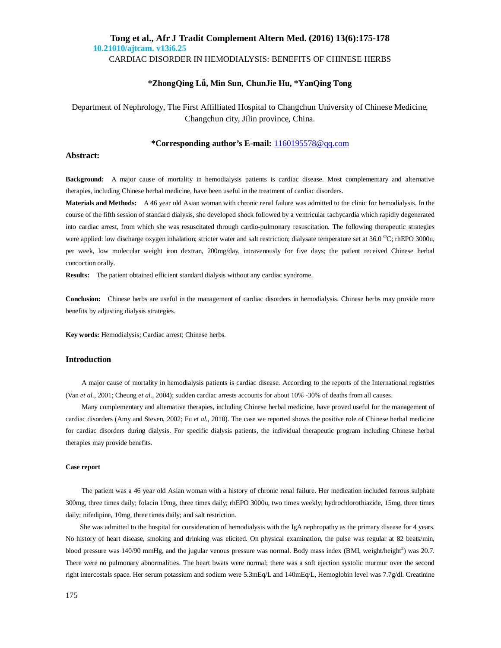CARDIAC DISORDER IN HEMODIALYSIS: BENEFITS OF CHINESE HERBS

## **\*ZhongQing Lǚ, Min Sun, ChunJie Hu, \*YanQing Tong**

Department of Nephrology, The First Affilliated Hospital to Changchun University of Chinese Medicine, Changchun city, Jilin province, China.

### **\*Corresponding author's E-mail:** 1160195578@qq.com

#### **Abstract:**

**Background:** A major cause of mortality in hemodialysis patients is cardiac disease. Most complementary and alternative therapies, including Chinese herbal medicine, have been useful in the treatment of cardiac disorders.

**Materials and Methods:**A 46 year old Asian woman with chronic renal failure was admitted to the clinic for hemodialysis. In the course of the fifth session of standard dialysis, she developed shock followed by a ventricular tachycardia which rapidly degenerated into cardiac arrest, from which she was resuscitated through cardio-pulmonary resuscitation. The following therapeutic strategies were applied: low discharge oxygen inhalation; stricter water and salt restriction; dialysate temperature set at 36.0 <sup>o</sup>C; rhEPO 3000u, per week, low molecular weight iron dextran, 200mg/day, intravenously for five days; the patient received Chinese herbal concoction orally.

**Results:**The patient obtained efficient standard dialysis without any cardiac syndrome.

**Conclusion:**Chinese herbs are useful in the management of cardiac disorders in hemodialysis. Chinese herbs may provide more benefits by adjusting dialysis strategies.

**Key words:** Hemodialysis; Cardiac arrest; Chinese herbs.

### **Introduction**

A major cause of mortality in hemodialysis patients is cardiac disease. According to the reports of the International registries (Van *et al.*, 2001; Cheung *et al.*, 2004); sudden cardiac arrests accounts for about 10% -30% of deaths from all causes.

Many complementary and alternative therapies, including Chinese herbal medicine, have proved useful for the management of cardiac disorders (Amy and Steven, 2002; Fu *et al.*, 2010). The case we reported shows the positive role of Chinese herbal medicine for cardiac disorders during dialysis. For specific dialysis patients, the individual therapeutic program including Chinese herbal therapies may provide benefits.

#### **Case report**

The patient was a 46 year old Asian woman with a history of chronic renal failure. Her medication included ferrous sulphate 300mg, three times daily; folacin 10mg, three times daily; rhEPO 3000u, two times weekly; hydrochlorothiazide, 15mg, three times daily; nifedipine, 10mg, three times daily; and salt restriction.

She was admitted to the hospital for consideration of hemodialysis with the IgA nephropathy as the primary disease for 4 years. No history of heart disease, smoking and drinking was elicited. On physical examination, the pulse was regular at 82 beats/min, blood pressure was 140/90 mmHg, and the jugular venous pressure was normal. Body mass index (BMI, weight/height<sup>2</sup>) was 20.7. There were no pulmonary abnormalities. The heart bwats were normal; there was a soft ejection systolic murmur over the second right intercostals space. Her serum potassium and sodium were 5.3mEq/L and 140mEq/L, Hemoglobin level was 7.7g/dl. Creatinine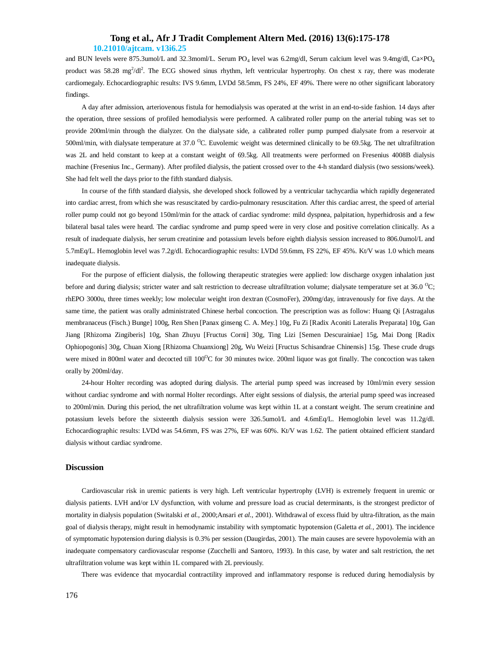and BUN levels were 875.3umol/L and 32.3moml/L. Serum PO<sub>4</sub> level was 6.2mg/dl, Serum calcium level was 9.4mg/dl, Ca×PO<sub>4</sub> product was  $58.28 \text{ mg}^2/dl^2$ . The ECG showed sinus rhythm, left ventricular hypertrophy. On chest x ray, there was moderate cardiomegaly. Echocardiographic results: IVS 9.6mm, LVDd 58.5mm, FS 24%, EF 49%. There were no other significant laboratory findings.

A day after admission, arteriovenous fistula for hemodialysis was operated at the wrist in an end-to-side fashion. 14 days after the operation, three sessions of profiled hemodialysis were performed. A calibrated roller pump on the arterial tubing was set to provide 200ml/min through the dialyzer. On the dialysate side, a calibrated roller pump pumped dialysate from a reservoir at 500ml/min, with dialysate temperature at 37.0  $^{\circ}$ C. Euvolemic weight was determined clinically to be 69.5kg. The net ultrafiltration was 2L and held constant to keep at a constant weight of 69.5kg. All treatments were performed on Fresenius 4008B dialysis machine (Fresenius Inc., Germany). After profiled dialysis, the patient crossed over to the 4-h standard dialysis (two sessions/week). She had felt well the days prior to the fifth standard dialysis.

In course of the fifth standard dialysis, she developed shock followed by a ventricular tachycardia which rapidly degenerated into cardiac arrest, from which she was resuscitated by cardio-pulmonary resuscitation. After this cardiac arrest, the speed of arterial roller pump could not go beyond 150ml/min for the attack of cardiac syndrome: mild dyspnea, palpitation, hyperhidrosis and a few bilateral basal tales were heard. The cardiac syndrome and pump speed were in very close and positive correlation clinically. As a result of inadequate dialysis, her serum creatinine and potassium levels before eighth dialysis session increased to 806.0umol/L and 5.7mEq/L. Hemoglobin level was 7.2g/dl. Echocardiographic results: LVDd 59.6mm, FS 22%, EF 45%. Kt/V was 1.0 which means inadequate dialysis.

For the purpose of efficient dialysis, the following therapeutic strategies were applied: low discharge oxygen inhalation just before and during dialysis; stricter water and salt restriction to decrease ultrafiltration volume; dialysate temperature set at 36.0  $^{\circ}$ C; rhEPO 3000u, three times weekly; low molecular weight iron dextran (CosmoFer), 200mg/day, intravenously for five days. At the same time, the patient was orally administrated Chinese herbal concoction. The prescription was as follow: Huang Qi [Astragalus membranaceus (Fisch.) Bunge] 100g, Ren Shen [Panax ginseng C. A. Mey.] 10g, Fu Zi [Radix Aconiti Lateralis Preparata] 10g, Gan Jiang [Rhizoma Zingiberis] 10g, Shan Zhuyu [Fructus Corni] 30g, Ting Lizi [Semen Descurainiae] 15g, Mai Dong [Radix Ophiopogonis] 30g, Chuan Xiong [Rhizoma Chuanxiong] 20g, Wu Weizi [Fructus Schisandrae Chinensis] 15g. These crude drugs were mixed in 800ml water and decocted till  $100^{\circ}$ C for 30 minutes twice. 200ml liquor was got finally. The concoction was taken orally by 200ml/day.

24-hour Holter recording was adopted during dialysis. The arterial pump speed was increased by 10ml/min every session without cardiac syndrome and with normal Holter recordings. After eight sessions of dialysis, the arterial pump speed was increased to 200ml/min. During this period, the net ultrafiltration volume was kept within 1L at a constant weight. The serum creatinine and potassium levels before the sixteenth dialysis session were 326.5umol/L and 4.6mEq/L. Hemoglobin level was 11.2g/dl. Echocardiographic results: LVDd was 54.6mm, FS was 27%, EF was 60%. Kt/V was 1.62. The patient obtained efficient standard dialysis without cardiac syndrome.

#### **Discussion**

Cardiovascular risk in uremic patients is very high. Left ventricular hypertrophy (LVH) is extremely frequent in uremic or dialysis patients. LVH and/or LV dysfunction, with volume and pressure load as crucial determinants, is the strongest predictor of mortality in dialysis population (Switalski *et al.*, 2000;Ansari *et al.*, 2001). Withdrawal of excess fluid by ultra-filtration, as the main goal of dialysis therapy, might result in hemodynamic instability with symptomatic hypotension (Galetta *et al.*, 2001). The incidence of symptomatic hypotension during dialysis is 0.3% per session (Daugirdas, 2001). The main causes are severe hypovolemia with an inadequate compensatory cardiovascular response (Zucchelli and Santoro, 1993). In this case, by water and salt restriction, the net ultrafiltration volume was kept within 1L compared with 2L previously.

There was evidence that myocardial contractility improved and inflammatory response is reduced during hemodialysis by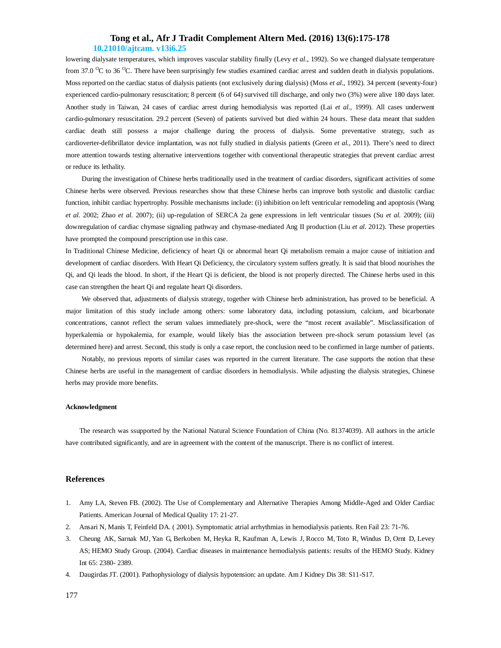lowering dialysate temperatures, which improves vascular stability finally (Levy *et al.*, 1992). So we changed dialysate temperature from 37.0  $\rm{^{\circ}C}$  to 36  $\rm{^{\circ}C}$ . There have been surprisingly few studies examined cardiac arrest and sudden death in dialysis populations. Moss reported on the cardiac status of dialysis patients (not exclusively during dialysis) (Moss *et al.*, 1992). 34 percent (seventy-four) experienced cardio-pulmonary resuscitation; 8 percent (6 of 64) survived till discharge, and only two (3%) were alive 180 days later. Another study in Taiwan, 24 cases of cardiac arrest during hemodialysis was reported (Lai *et al.*, 1999). All cases underwent cardio-pulmonary resuscitation. 29.2 percent (Seven) of patients survived but died within 24 hours. These data meant that sudden cardiac death still possess a major challenge during the process of dialysis. Some preventative strategy, such as cardioverter-defibrillator device implantation, was not fully studied in dialysis patients (Green *et al.*, 2011). There's need to direct more attention towards testing alternative interventions together with conventional therapeutic strategies that prevent cardiac arrest or reduce its lethality.

During the investigation of Chinese herbs traditionally used in the treatment of cardiac disorders, significant activities of some Chinese herbs were observed. Previous researches show that these Chinese herbs can improve both systolic and diastolic cardiac function, inhibit cardiac hypertrophy. Possible mechanisms include: (i) inhibition on left ventricular remodeling and apoptosis (Wang *et al.* 2002; Zhao *et al.* 2007); (ii) up-regulation of SERCA 2a gene expressions in left ventricular tissues (Su *et al.* 2009); (iii) downregulation of cardiac chymase signaling pathway and chymase-mediated Ang II production (Liu *et al.* 2012). These properties have prompted the compound prescription use in this case.

In Traditional Chinese Medicine, deficiency of heart Qi or abnormal heart Qi metabolism remain a major cause of initiation and development of cardiac disorders. With Heart Qi Deficiency, the circulatory system suffers greatly. It is said that blood nourishes the Qi, and Qi leads the blood. In short, if the Heart Qi is deficient, the blood is not properly directed. The Chinese herbs used in this case can strengthen the heart Qi and regulate heart Qi disorders.

We observed that, adjustments of dialysis strategy, together with Chinese herb administration, has proved to be beneficial. A major limitation of this study include among others: some laboratory data, including potassium, calcium, and bicarbonate concentrations, cannot reflect the serum values immediately pre-shock, were the "most recent available". Misclassification of hyperkalemia or hypokalemia, for example, would likely bias the association between pre-shock serum potassium level (as determined here) and arrest. Second, this study is only a case report, the conclusion need to be confirmed in large number of patients.

Notably, no previous reports of similar cases was reported in the current literature. The case supports the notion that these Chinese herbs are useful in the management of cardiac disorders in hemodialysis. While adjusting the dialysis strategies, Chinese herbs may provide more benefits.

#### **Acknowledgment**

 The research was ssupported by the National Natural Science Foundation of China (No. 81374039). All authors in the article have contributed significantly, and are in agreement with the content of the manuscript. There is no conflict of interest.

#### **References**

- 1. Amy LA, Steven FB. (2002). The Use of Complementary and Alternative Therapies Among Middle-Aged and Older Cardiac Patients. American Journal of Medical Quality 17: 21-27.
- 2. Ansari N, Manis T, Feinfeld DA. ( 2001). Symptomatic atrial arrhythmias in hemodialysis patients. Ren Fail 23: 71-76.
- 3. Cheung AK, Sarnak MJ, Yan G, Berkoben M, Heyka R, Kaufman A, Lewis J, Rocco M, Toto R, Windus D, Ornt D, Levey AS; HEMO Study Group. (2004). Cardiac diseases in maintenance hemodialysis patients: results of the HEMO Study. Kidney Int 65: 2380- 2389.
- 4. Daugirdas JT. (2001). Pathophysiology of dialysis hypotension: an update. Am J Kidney Dis 38: S11-S17.